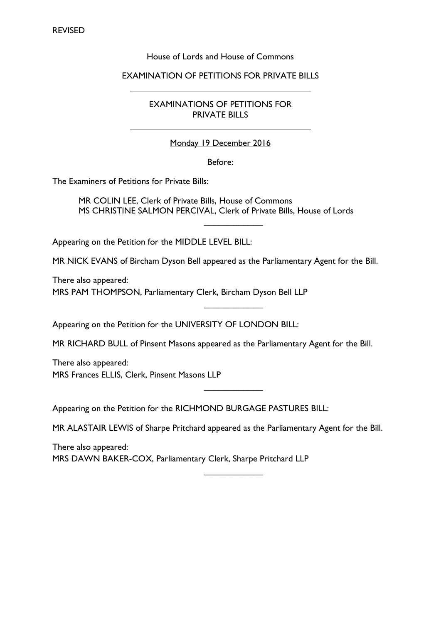# House of Lords and House of Commons

#### EXAMINATION OF PETITIONS FOR PRIVATE BILLS

EXAMINATIONS OF PETITIONS FOR PRIVATE BILLS

### Monday 19 December 2016

#### Before:

The Examiners of Petitions for Private Bills:

MR COLIN LEE, Clerk of Private Bills, House of Commons MS CHRISTINE SALMON PERCIVAL, Clerk of Private Bills, House of Lords

 $\frac{1}{2}$  ,  $\frac{1}{2}$  ,  $\frac{1}{2}$  ,  $\frac{1}{2}$  ,  $\frac{1}{2}$  ,  $\frac{1}{2}$ 

 $\frac{1}{2}$  ,  $\frac{1}{2}$  ,  $\frac{1}{2}$  ,  $\frac{1}{2}$  ,  $\frac{1}{2}$  ,  $\frac{1}{2}$ 

 $\frac{1}{2}$  ,  $\frac{1}{2}$  ,  $\frac{1}{2}$  ,  $\frac{1}{2}$  ,  $\frac{1}{2}$  ,  $\frac{1}{2}$ 

Appearing on the Petition for the MIDDLE LEVEL BILL:

MR NICK EVANS of Bircham Dyson Bell appeared as the Parliamentary Agent for the Bill.

There also appeared: MRS PAM THOMPSON, Parliamentary Clerk, Bircham Dyson Bell LLP

Appearing on the Petition for the UNIVERSITY OF LONDON BILL:

MR RICHARD BULL of Pinsent Masons appeared as the Parliamentary Agent for the Bill.

There also appeared: MRS Frances ELLIS, Clerk, Pinsent Masons LLP

Appearing on the Petition for the RICHMOND BURGAGE PASTURES BILL:

MR ALASTAIR LEWIS of Sharpe Pritchard appeared as the Parliamentary Agent for the Bill.

There also appeared: MRS DAWN BAKER-COX, Parliamentary Clerk, Sharpe Pritchard LLP

 $\frac{1}{2}$  ,  $\frac{1}{2}$  ,  $\frac{1}{2}$  ,  $\frac{1}{2}$  ,  $\frac{1}{2}$  ,  $\frac{1}{2}$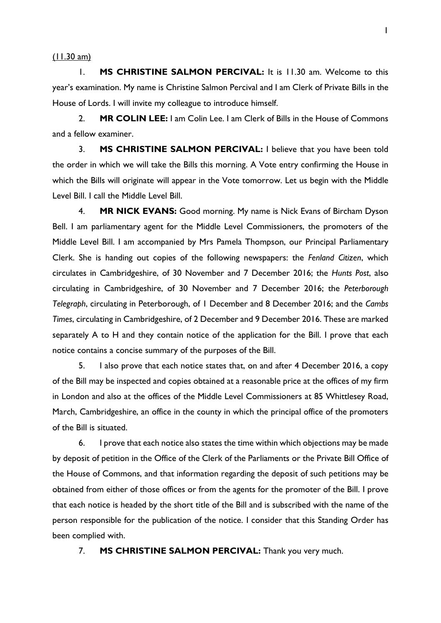$(11.30 \text{ am})$ 

1. **MS CHRISTINE SALMON PERCIVAL:** It is 11.30 am. Welcome to this year's examination. My name is Christine Salmon Percival and I am Clerk of Private Bills in the House of Lords. I will invite my colleague to introduce himself.

2. **MR COLIN LEE:** I am Colin Lee. I am Clerk of Bills in the House of Commons and a fellow examiner.

3. **MS CHRISTINE SALMON PERCIVAL:** I believe that you have been told the order in which we will take the Bills this morning. A Vote entry confirming the House in which the Bills will originate will appear in the Vote tomorrow. Let us begin with the Middle Level Bill. I call the Middle Level Bill.

4. **MR NICK EVANS:** Good morning. My name is Nick Evans of Bircham Dyson Bell. I am parliamentary agent for the Middle Level Commissioners, the promoters of the Middle Level Bill. I am accompanied by Mrs Pamela Thompson, our Principal Parliamentary Clerk. She is handing out copies of the following newspapers: the *Fenland Citizen*, which circulates in Cambridgeshire, of 30 November and 7 December 2016; the *Hunts Post*, also circulating in Cambridgeshire, of 30 November and 7 December 2016; the *Peterborough Telegraph*, circulating in Peterborough, of 1 December and 8 December 2016; and the *Cambs Times*, circulating in Cambridgeshire, of 2 December and 9 December 2016. These are marked separately A to H and they contain notice of the application for the Bill. I prove that each notice contains a concise summary of the purposes of the Bill.

5. I also prove that each notice states that, on and after 4 December 2016, a copy of the Bill may be inspected and copies obtained at a reasonable price at the offices of my firm in London and also at the offices of the Middle Level Commissioners at 85 Whittlesey Road, March, Cambridgeshire, an office in the county in which the principal office of the promoters of the Bill is situated.

6. I prove that each notice also states the time within which objections may be made by deposit of petition in the Office of the Clerk of the Parliaments or the Private Bill Office of the House of Commons, and that information regarding the deposit of such petitions may be obtained from either of those offices or from the agents for the promoter of the Bill. I prove that each notice is headed by the short title of the Bill and is subscribed with the name of the person responsible for the publication of the notice. I consider that this Standing Order has been complied with.

7. **MS CHRISTINE SALMON PERCIVAL:** Thank you very much.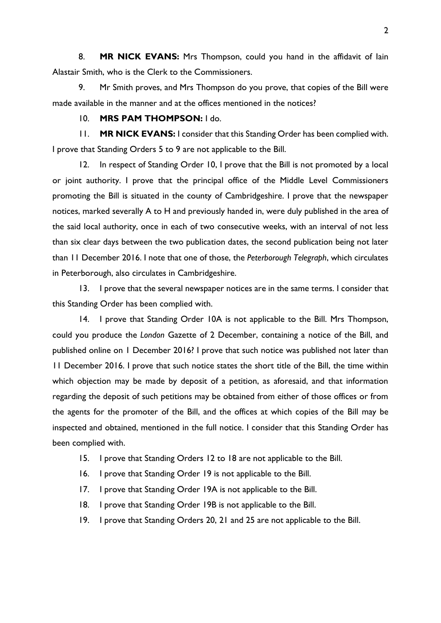8. **MR NICK EVANS:** Mrs Thompson, could you hand in the affidavit of Iain Alastair Smith, who is the Clerk to the Commissioners.

9. Mr Smith proves, and Mrs Thompson do you prove, that copies of the Bill were made available in the manner and at the offices mentioned in the notices?

### 10. **MRS PAM THOMPSON:** I do.

11. **MR NICK EVANS:** I consider that this Standing Order has been complied with. I prove that Standing Orders 5 to 9 are not applicable to the Bill.

12. In respect of Standing Order 10, I prove that the Bill is not promoted by a local or joint authority. I prove that the principal office of the Middle Level Commissioners promoting the Bill is situated in the county of Cambridgeshire. I prove that the newspaper notices, marked severally A to H and previously handed in, were duly published in the area of the said local authority, once in each of two consecutive weeks, with an interval of not less than six clear days between the two publication dates, the second publication being not later than 11 December 2016. I note that one of those, the *Peterborough Telegraph*, which circulates in Peterborough, also circulates in Cambridgeshire.

13. I prove that the several newspaper notices are in the same terms. I consider that this Standing Order has been complied with.

14. I prove that Standing Order 10A is not applicable to the Bill. Mrs Thompson, could you produce the *London* Gazette of 2 December, containing a notice of the Bill, and published online on 1 December 2016? I prove that such notice was published not later than 11 December 2016. I prove that such notice states the short title of the Bill, the time within which objection may be made by deposit of a petition, as aforesaid, and that information regarding the deposit of such petitions may be obtained from either of those offices or from the agents for the promoter of the Bill, and the offices at which copies of the Bill may be inspected and obtained, mentioned in the full notice. I consider that this Standing Order has been complied with.

- 15. I prove that Standing Orders 12 to 18 are not applicable to the Bill.
- 16. I prove that Standing Order 19 is not applicable to the Bill.
- 17. I prove that Standing Order 19A is not applicable to the Bill.
- 18. I prove that Standing Order 19B is not applicable to the Bill.
- 19. I prove that Standing Orders 20, 21 and 25 are not applicable to the Bill.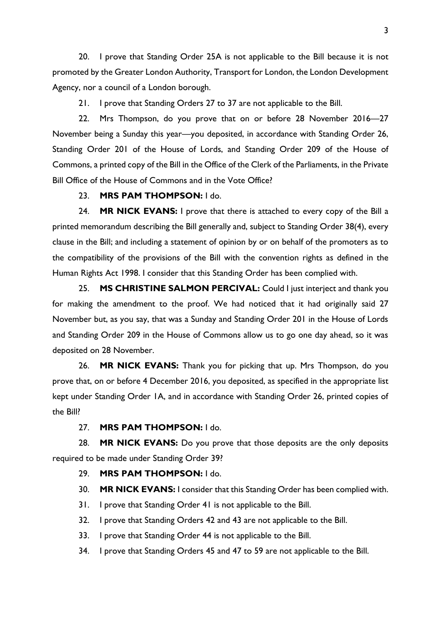20. I prove that Standing Order 25A is not applicable to the Bill because it is not promoted by the Greater London Authority, Transport for London, the London Development Agency, nor a council of a London borough.

21. I prove that Standing Orders 27 to 37 are not applicable to the Bill.

22. Mrs Thompson, do you prove that on or before 28 November 2016—27 November being a Sunday this year—you deposited, in accordance with Standing Order 26, Standing Order 201 of the House of Lords, and Standing Order 209 of the House of Commons, a printed copy of the Bill in the Office of the Clerk of the Parliaments, in the Private Bill Office of the House of Commons and in the Vote Office?

## 23. **MRS PAM THOMPSON:** I do.

24. **MR NICK EVANS:** I prove that there is attached to every copy of the Bill a printed memorandum describing the Bill generally and, subject to Standing Order 38(4), every clause in the Bill; and including a statement of opinion by or on behalf of the promoters as to the compatibility of the provisions of the Bill with the convention rights as defined in the Human Rights Act 1998. I consider that this Standing Order has been complied with.

25. **MS CHRISTINE SALMON PERCIVAL:** Could I just interject and thank you for making the amendment to the proof. We had noticed that it had originally said 27 November but, as you say, that was a Sunday and Standing Order 201 in the House of Lords and Standing Order 209 in the House of Commons allow us to go one day ahead, so it was deposited on 28 November.

26. **MR NICK EVANS:** Thank you for picking that up. Mrs Thompson, do you prove that, on or before 4 December 2016, you deposited, as specified in the appropriate list kept under Standing Order 1A, and in accordance with Standing Order 26, printed copies of the Bill?

# 27. **MRS PAM THOMPSON:** I do.

28. **MR NICK EVANS:** Do you prove that those deposits are the only deposits required to be made under Standing Order 39?

## 29. **MRS PAM THOMPSON:** I do.

30. **MR NICK EVANS:** I consider that this Standing Order has been complied with.

- 31. I prove that Standing Order 41 is not applicable to the Bill.
- 32. I prove that Standing Orders 42 and 43 are not applicable to the Bill.
- 33. I prove that Standing Order 44 is not applicable to the Bill.
- 34. I prove that Standing Orders 45 and 47 to 59 are not applicable to the Bill.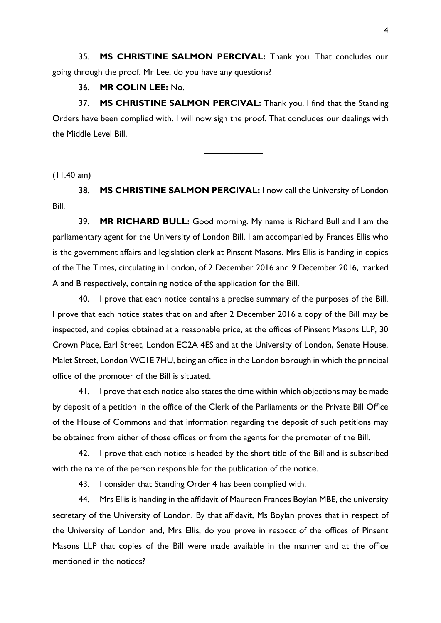35. **MS CHRISTINE SALMON PERCIVAL:** Thank you. That concludes our going through the proof. Mr Lee, do you have any questions?

### 36. **MR COLIN LEE:** No.

37. **MS CHRISTINE SALMON PERCIVAL:** Thank you. I find that the Standing Orders have been complied with. I will now sign the proof. That concludes our dealings with the Middle Level Bill.

 $\frac{1}{2}$  ,  $\frac{1}{2}$  ,  $\frac{1}{2}$  ,  $\frac{1}{2}$  ,  $\frac{1}{2}$  ,  $\frac{1}{2}$ 

## $(11.40 \text{ am})$

38. **MS CHRISTINE SALMON PERCIVAL:** I now call the University of London Bill.

39. **MR RICHARD BULL:** Good morning. My name is Richard Bull and I am the parliamentary agent for the University of London Bill. I am accompanied by Frances Ellis who is the government affairs and legislation clerk at Pinsent Masons. Mrs Ellis is handing in copies of the The Times, circulating in London, of 2 December 2016 and 9 December 2016, marked A and B respectively, containing notice of the application for the Bill.

40. I prove that each notice contains a precise summary of the purposes of the Bill. I prove that each notice states that on and after 2 December 2016 a copy of the Bill may be inspected, and copies obtained at a reasonable price, at the offices of Pinsent Masons LLP, 30 Crown Place, Earl Street, London EC2A 4ES and at the University of London, Senate House, Malet Street, London WC1E 7HU, being an office in the London borough in which the principal office of the promoter of the Bill is situated.

41. I prove that each notice also states the time within which objections may be made by deposit of a petition in the office of the Clerk of the Parliaments or the Private Bill Office of the House of Commons and that information regarding the deposit of such petitions may be obtained from either of those offices or from the agents for the promoter of the Bill.

42. I prove that each notice is headed by the short title of the Bill and is subscribed with the name of the person responsible for the publication of the notice.

43. I consider that Standing Order 4 has been complied with.

44. Mrs Ellis is handing in the affidavit of Maureen Frances Boylan MBE, the university secretary of the University of London. By that affidavit, Ms Boylan proves that in respect of the University of London and, Mrs Ellis, do you prove in respect of the offices of Pinsent Masons LLP that copies of the Bill were made available in the manner and at the office mentioned in the notices?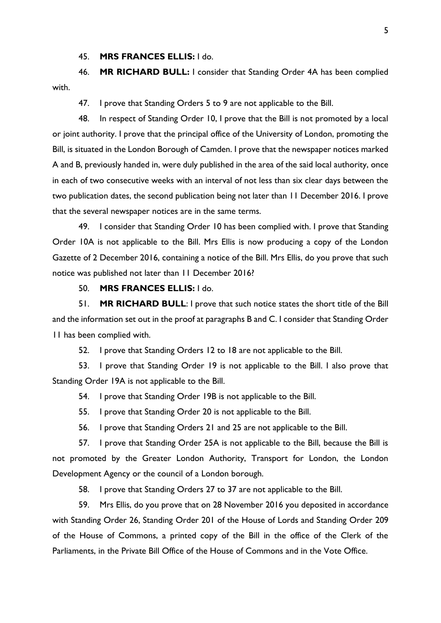45. **MRS FRANCES ELLIS:** I do.

46. **MR RICHARD BULL:** I consider that Standing Order 4A has been complied with.

47. I prove that Standing Orders 5 to 9 are not applicable to the Bill.

48. In respect of Standing Order 10, I prove that the Bill is not promoted by a local or joint authority. I prove that the principal office of the University of London, promoting the Bill, is situated in the London Borough of Camden. I prove that the newspaper notices marked A and B, previously handed in, were duly published in the area of the said local authority, once in each of two consecutive weeks with an interval of not less than six clear days between the two publication dates, the second publication being not later than 11 December 2016. I prove that the several newspaper notices are in the same terms.

49. I consider that Standing Order 10 has been complied with. I prove that Standing Order 10A is not applicable to the Bill. Mrs Ellis is now producing a copy of the London Gazette of 2 December 2016, containing a notice of the Bill. Mrs Ellis, do you prove that such notice was published not later than 11 December 2016?

# 50. **MRS FRANCES ELLIS:** I do.

51. **MR RICHARD BULL**: I prove that such notice states the short title of the Bill and the information set out in the proof at paragraphs B and C. I consider that Standing Order 11 has been complied with.

52. I prove that Standing Orders 12 to 18 are not applicable to the Bill.

53. I prove that Standing Order 19 is not applicable to the Bill. I also prove that Standing Order 19A is not applicable to the Bill.

54. I prove that Standing Order 19B is not applicable to the Bill.

55. I prove that Standing Order 20 is not applicable to the Bill.

56. I prove that Standing Orders 21 and 25 are not applicable to the Bill.

57. I prove that Standing Order 25A is not applicable to the Bill, because the Bill is not promoted by the Greater London Authority, Transport for London, the London Development Agency or the council of a London borough.

58. I prove that Standing Orders 27 to 37 are not applicable to the Bill.

59. Mrs Ellis, do you prove that on 28 November 2016 you deposited in accordance with Standing Order 26, Standing Order 201 of the House of Lords and Standing Order 209 of the House of Commons, a printed copy of the Bill in the office of the Clerk of the Parliaments, in the Private Bill Office of the House of Commons and in the Vote Office.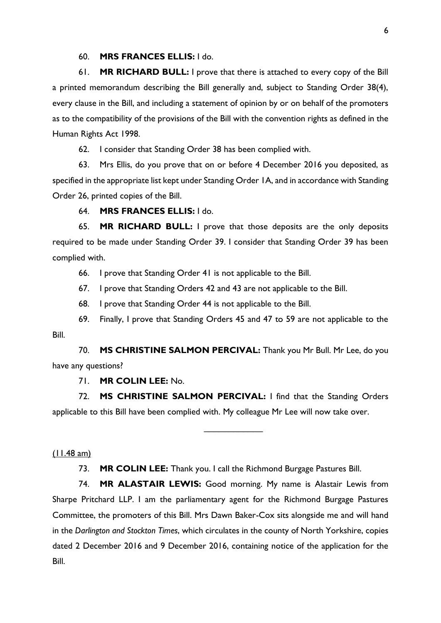#### 60. **MRS FRANCES ELLIS:** I do.

61. **MR RICHARD BULL:** I prove that there is attached to every copy of the Bill a printed memorandum describing the Bill generally and, subject to Standing Order 38(4), every clause in the Bill, and including a statement of opinion by or on behalf of the promoters as to the compatibility of the provisions of the Bill with the convention rights as defined in the Human Rights Act 1998.

62. I consider that Standing Order 38 has been complied with.

63. Mrs Ellis, do you prove that on or before 4 December 2016 you deposited, as specified in the appropriate list kept under Standing Order 1A, and in accordance with Standing Order 26, printed copies of the Bill.

64. **MRS FRANCES ELLIS:** I do.

65. **MR RICHARD BULL:** I prove that those deposits are the only deposits required to be made under Standing Order 39. I consider that Standing Order 39 has been complied with.

66. I prove that Standing Order 41 is not applicable to the Bill.

67. I prove that Standing Orders 42 and 43 are not applicable to the Bill.

68. I prove that Standing Order 44 is not applicable to the Bill.

69. Finally, I prove that Standing Orders 45 and 47 to 59 are not applicable to the Bill.

70. **MS CHRISTINE SALMON PERCIVAL:** Thank you Mr Bull. Mr Lee, do you have any questions?

71. **MR COLIN LEE:** No.

72. **MS CHRISTINE SALMON PERCIVAL:** I find that the Standing Orders applicable to this Bill have been complied with. My colleague Mr Lee will now take over.

 $\overline{\phantom{a}}$ 

### (11.48 am)

73. **MR COLIN LEE:** Thank you. I call the Richmond Burgage Pastures Bill.

74. **MR ALASTAIR LEWIS:** Good morning. My name is Alastair Lewis from Sharpe Pritchard LLP. I am the parliamentary agent for the Richmond Burgage Pastures Committee, the promoters of this Bill. Mrs Dawn Baker-Cox sits alongside me and will hand in the *Darlington and Stockton Times*, which circulates in the county of North Yorkshire, copies dated 2 December 2016 and 9 December 2016, containing notice of the application for the Bill.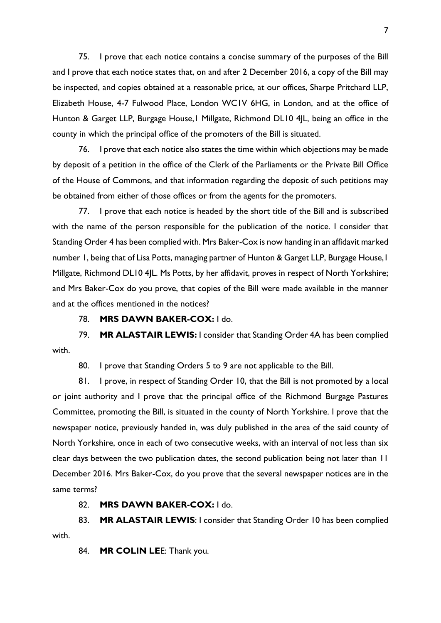75. I prove that each notice contains a concise summary of the purposes of the Bill and I prove that each notice states that, on and after 2 December 2016, a copy of the Bill may be inspected, and copies obtained at a reasonable price, at our offices, Sharpe Pritchard LLP, Elizabeth House, 4-7 Fulwood Place, London WC1V 6HG, in London, and at the office of Hunton & Garget LLP, Burgage House,1 Millgate, Richmond DL10 4JL, being an office in the county in which the principal office of the promoters of the Bill is situated.

76. I prove that each notice also states the time within which objections may be made by deposit of a petition in the office of the Clerk of the Parliaments or the Private Bill Office of the House of Commons, and that information regarding the deposit of such petitions may be obtained from either of those offices or from the agents for the promoters.

77. I prove that each notice is headed by the short title of the Bill and is subscribed with the name of the person responsible for the publication of the notice. I consider that Standing Order 4 has been complied with. Mrs Baker-Cox is now handing in an affidavit marked number 1, being that of Lisa Potts, managing partner of Hunton & Garget LLP, Burgage House, I Millgate, Richmond DL10 4|L. Ms Potts, by her affidavit, proves in respect of North Yorkshire; and Mrs Baker-Cox do you prove, that copies of the Bill were made available in the manner and at the offices mentioned in the notices?

78. **MRS DAWN BAKER-COX:** I do.

79. **MR ALASTAIR LEWIS:** I consider that Standing Order 4A has been complied with.

80. I prove that Standing Orders 5 to 9 are not applicable to the Bill.

81. I prove, in respect of Standing Order 10, that the Bill is not promoted by a local or joint authority and I prove that the principal office of the Richmond Burgage Pastures Committee, promoting the Bill, is situated in the county of North Yorkshire. I prove that the newspaper notice, previously handed in, was duly published in the area of the said county of North Yorkshire, once in each of two consecutive weeks, with an interval of not less than six clear days between the two publication dates, the second publication being not later than 11 December 2016. Mrs Baker-Cox, do you prove that the several newspaper notices are in the same terms?

82. **MRS DAWN BAKER-COX:** I do.

83. **MR ALASTAIR LEWIS**: I consider that Standing Order 10 has been complied with.

84. **MR COLIN LE**E: Thank you.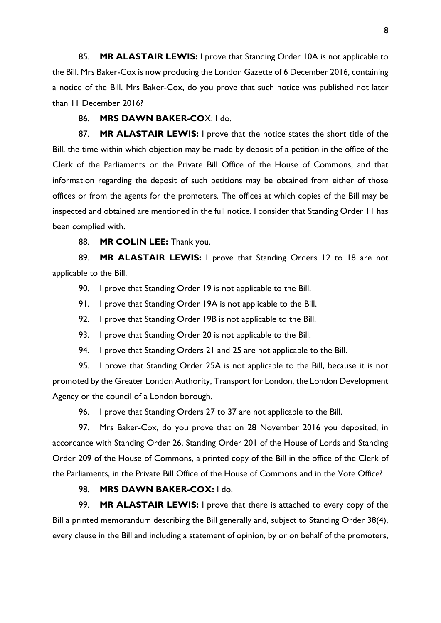85. **MR ALASTAIR LEWIS:** I prove that Standing Order 10A is not applicable to the Bill. Mrs Baker-Cox is now producing the London Gazette of 6 December 2016, containing a notice of the Bill. Mrs Baker-Cox, do you prove that such notice was published not later than 11 December 2016?

#### 86. **MRS DAWN BAKER-CO**X: I do.

87. **MR ALASTAIR LEWIS:** I prove that the notice states the short title of the Bill, the time within which objection may be made by deposit of a petition in the office of the Clerk of the Parliaments or the Private Bill Office of the House of Commons, and that information regarding the deposit of such petitions may be obtained from either of those offices or from the agents for the promoters. The offices at which copies of the Bill may be inspected and obtained are mentioned in the full notice. I consider that Standing Order 11 has been complied with.

88. **MR COLIN LEE:** Thank you.

89. **MR ALASTAIR LEWIS:** I prove that Standing Orders 12 to 18 are not applicable to the Bill.

90. I prove that Standing Order 19 is not applicable to the Bill.

91. I prove that Standing Order 19A is not applicable to the Bill.

92. I prove that Standing Order 19B is not applicable to the Bill.

93. I prove that Standing Order 20 is not applicable to the Bill.

94. I prove that Standing Orders 21 and 25 are not applicable to the Bill.

95. I prove that Standing Order 25A is not applicable to the Bill, because it is not promoted by the Greater London Authority, Transport for London, the London Development Agency or the council of a London borough.

96. I prove that Standing Orders 27 to 37 are not applicable to the Bill.

97. Mrs Baker-Cox, do you prove that on 28 November 2016 you deposited, in accordance with Standing Order 26, Standing Order 201 of the House of Lords and Standing Order 209 of the House of Commons, a printed copy of the Bill in the office of the Clerk of the Parliaments, in the Private Bill Office of the House of Commons and in the Vote Office?

# 98. **MRS DAWN BAKER-COX:** I do.

99. **MR ALASTAIR LEWIS:** I prove that there is attached to every copy of the Bill a printed memorandum describing the Bill generally and, subject to Standing Order 38(4), every clause in the Bill and including a statement of opinion, by or on behalf of the promoters,